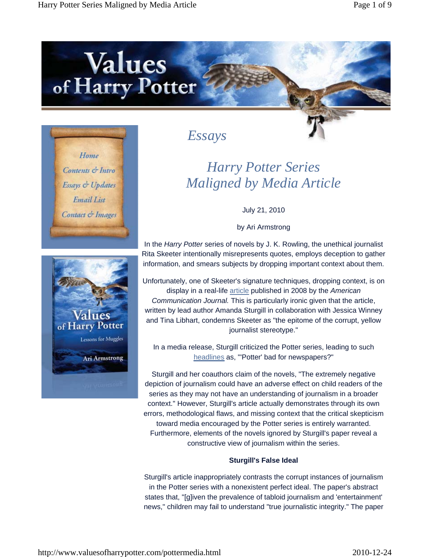# Values<br>of Harry Potter





## *Essays*

# *Harry Potter Series Maligned by Media Article*

July 21, 2010

by Ari Armstrong

In the *Harry Potter* series of novels by J. K. Rowling, the unethical journalist Rita Skeeter intentionally misrepresents quotes, employs deception to gather information, and smears subjects by dropping important context about them.

Unfortunately, one of Skeeter's signature techniques, dropping context, is on display in a real-life article published in 2008 by the *American Communication Journal.* This is particularly ironic given that the article, written by lead author Amanda Sturgill in collaboration with Jessica Winney and Tina Libhart, condemns Skeeter as "the epitome of the corrupt, yellow journalist stereotype."

In a media release, Sturgill criticized the Potter series, leading to such headlines as, "'Potter' bad for newspapers?"

Sturgill and her coauthors claim of the novels, "The extremely negative depiction of journalism could have an adverse effect on child readers of the series as they may not have an understanding of journalism in a broader context." However, Sturgill's article actually demonstrates through its own errors, methodological flaws, and missing context that the critical skepticism toward media encouraged by the Potter series is entirely warranted. Furthermore, elements of the novels ignored by Sturgill's paper reveal a constructive view of journalism within the series.

## **Sturgill's False Ideal**

Sturgill's article inappropriately contrasts the corrupt instances of journalism in the Potter series with a nonexistent perfect ideal. The paper's abstract states that, "[g]iven the prevalence of tabloid journalism and 'entertainment' news," children may fail to understand "true journalistic integrity." The paper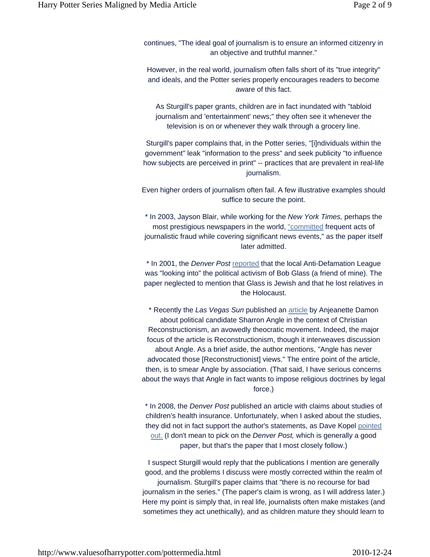continues, "The ideal goal of journalism is to ensure an informed citizenry in an objective and truthful manner."

However, in the real world, journalism often falls short of its "true integrity" and ideals, and the Potter series properly encourages readers to become aware of this fact.

As Sturgill's paper grants, children are in fact inundated with "tabloid journalism and 'entertainment' news;" they often see it whenever the television is on or whenever they walk through a grocery line.

Sturgill's paper complains that, in the Potter series, "[i]ndividuals within the government" leak "information to the press" and seek publicity "to influence how subjects are perceived in print" -- practices that are prevalent in real-life journalism.

Even higher orders of journalism often fail. A few illustrative examples should suffice to secure the point.

\* In 2003, Jayson Blair, while working for the *New York Times,* perhaps the most prestigious newspapers in the world, "committed frequent acts of journalistic fraud while covering significant news events," as the paper itself later admitted.

\* In 2001, the *Denver Post* reported that the local Anti-Defamation League was "looking into" the political activism of Bob Glass (a friend of mine). The paper neglected to mention that Glass is Jewish and that he lost relatives in the Holocaust.

\* Recently the *Las Vegas Sun* published an article by Anjeanette Damon about political candidate Sharron Angle in the context of Christian Reconstructionism, an avowedly theocratic movement. Indeed, the major focus of the article is Reconstructionism, though it interweaves discussion about Angle. As a brief aside, the author mentions, "Angle has never advocated those [Reconstructionist] views." The entire point of the article, then, is to smear Angle by association. (That said, I have serious concerns about the ways that Angle in fact wants to impose religious doctrines by legal force.)

\* In 2008, the *Denver Post* published an article with claims about studies of children's health insurance. Unfortunately, when I asked about the studies, they did not in fact support the author's statements, as Dave Kopel pointed out. (I don't mean to pick on the *Denver Post,* which is generally a good paper, but that's the paper that I most closely follow.)

I suspect Sturgill would reply that the publications I mention are generally good, and the problems I discuss were mostly corrected within the realm of journalism. Sturgill's paper claims that "there is no recourse for bad journalism in the series." (The paper's claim is wrong, as I will address later.) Here my point is simply that, in real life, journalists often make mistakes (and sometimes they act unethically), and as children mature they should learn to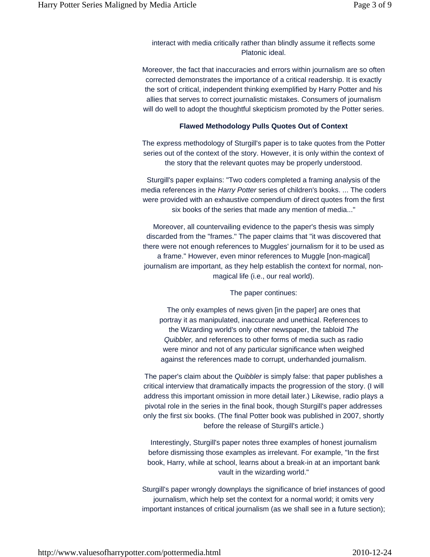interact with media critically rather than blindly assume it reflects some Platonic ideal.

Moreover, the fact that inaccuracies and errors within journalism are so often corrected demonstrates the importance of a critical readership. It is exactly the sort of critical, independent thinking exemplified by Harry Potter and his allies that serves to correct journalistic mistakes. Consumers of journalism will do well to adopt the thoughtful skepticism promoted by the Potter series.

### **Flawed Methodology Pulls Quotes Out of Context**

The express methodology of Sturgill's paper is to take quotes from the Potter series out of the context of the story. However, it is only within the context of the story that the relevant quotes may be properly understood.

Sturgill's paper explains: "Two coders completed a framing analysis of the media references in the *Harry Potter* series of children's books. ... The coders were provided with an exhaustive compendium of direct quotes from the first six books of the series that made any mention of media..."

Moreover, all countervailing evidence to the paper's thesis was simply discarded from the "frames." The paper claims that "it was discovered that there were not enough references to Muggles' journalism for it to be used as a frame." However, even minor references to Muggle [non-magical] journalism are important, as they help establish the context for normal, nonmagical life (i.e., our real world).

The paper continues:

The only examples of news given [in the paper] are ones that portray it as manipulated, inaccurate and unethical. References to the Wizarding world's only other newspaper, the tabloid *The Quibbler,* and references to other forms of media such as radio were minor and not of any particular significance when weighed against the references made to corrupt, underhanded journalism.

The paper's claim about the *Quibbler* is simply false: that paper publishes a critical interview that dramatically impacts the progression of the story. (I will address this important omission in more detail later.) Likewise, radio plays a pivotal role in the series in the final book, though Sturgill's paper addresses only the first six books. (The final Potter book was published in 2007, shortly before the release of Sturgill's article.)

Interestingly, Sturgill's paper notes three examples of honest journalism before dismissing those examples as irrelevant. For example, "In the first book, Harry, while at school, learns about a break-in at an important bank vault in the wizarding world."

Sturgill's paper wrongly downplays the significance of brief instances of good journalism, which help set the context for a normal world; it omits very important instances of critical journalism (as we shall see in a future section);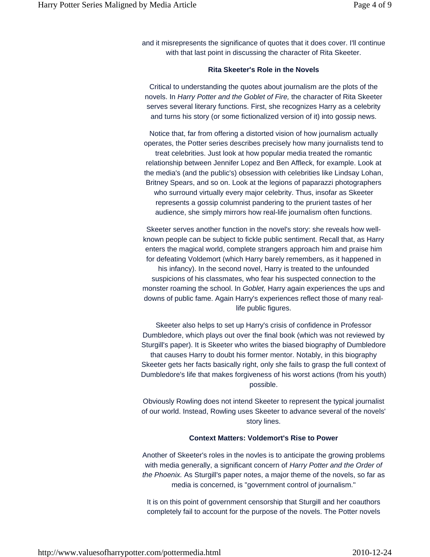and it misrepresents the significance of quotes that it does cover. I'll continue with that last point in discussing the character of Rita Skeeter.

#### **Rita Skeeter's Role in the Novels**

Critical to understanding the quotes about journalism are the plots of the novels. In *Harry Potter and the Goblet of Fire,* the character of Rita Skeeter serves several literary functions. First, she recognizes Harry as a celebrity and turns his story (or some fictionalized version of it) into gossip news.

Notice that, far from offering a distorted vision of how journalism actually operates, the Potter series describes precisely how many journalists tend to treat celebrities. Just look at how popular media treated the romantic relationship between Jennifer Lopez and Ben Affleck, for example. Look at the media's (and the public's) obsession with celebrities like Lindsay Lohan, Britney Spears, and so on. Look at the legions of paparazzi photographers who surround virtually every major celebrity. Thus, insofar as Skeeter represents a gossip columnist pandering to the prurient tastes of her audience, she simply mirrors how real-life journalism often functions.

Skeeter serves another function in the novel's story: she reveals how wellknown people can be subject to fickle public sentiment. Recall that, as Harry enters the magical world, complete strangers approach him and praise him for defeating Voldemort (which Harry barely remembers, as it happened in his infancy). In the second novel, Harry is treated to the unfounded suspicions of his classmates, who fear his suspected connection to the monster roaming the school. In *Goblet,* Harry again experiences the ups and downs of public fame. Again Harry's experiences reflect those of many reallife public figures.

Skeeter also helps to set up Harry's crisis of confidence in Professor Dumbledore, which plays out over the final book (which was not reviewed by Sturgill's paper). It is Skeeter who writes the biased biography of Dumbledore that causes Harry to doubt his former mentor. Notably, in this biography Skeeter gets her facts basically right, only she fails to grasp the full context of Dumbledore's life that makes forgiveness of his worst actions (from his youth) possible.

Obviously Rowling does not intend Skeeter to represent the typical journalist of our world. Instead, Rowling uses Skeeter to advance several of the novels' story lines.

#### **Context Matters: Voldemort's Rise to Power**

Another of Skeeter's roles in the novles is to anticipate the growing problems with media generally, a significant concern of *Harry Potter and the Order of the Phoenix.* As Sturgill's paper notes, a major theme of the novels, so far as media is concerned, is "government control of journalism."

It is on this point of government censorship that Sturgill and her coauthors completely fail to account for the purpose of the novels. The Potter novels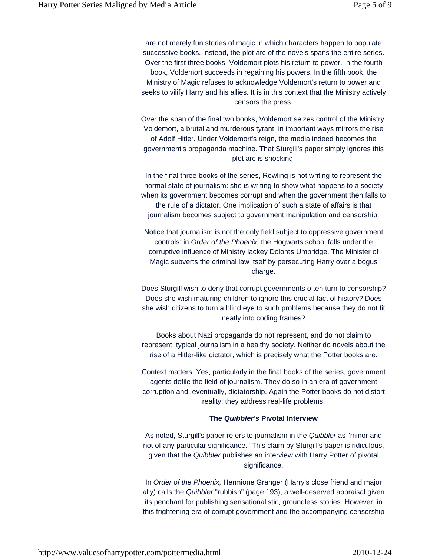are not merely fun stories of magic in which characters happen to populate successive books. Instead, the plot arc of the novels spans the entire series. Over the first three books, Voldemort plots his return to power. In the fourth book, Voldemort succeeds in regaining his powers. In the fifth book, the Ministry of Magic refuses to acknowledge Voldemort's return to power and seeks to vilify Harry and his allies. It is in this context that the Ministry actively censors the press.

Over the span of the final two books, Voldemort seizes control of the Ministry. Voldemort, a brutal and murderous tyrant, in important ways mirrors the rise of Adolf Hitler. Under Voldemort's reign, the media indeed becomes the government's propaganda machine. That Sturgill's paper simply ignores this plot arc is shocking.

In the final three books of the series, Rowling is not writing to represent the normal state of journalism: she is writing to show what happens to a society when its government becomes corrupt and when the government then falls to the rule of a dictator. One implication of such a state of affairs is that journalism becomes subject to government manipulation and censorship.

Notice that journalism is not the only field subject to oppressive government controls: in *Order of the Phoenix,* the Hogwarts school falls under the corruptive influence of Ministry lackey Dolores Umbridge. The Minister of Magic subverts the criminal law itself by persecuting Harry over a bogus charge.

Does Sturgill wish to deny that corrupt governments often turn to censorship? Does she wish maturing children to ignore this crucial fact of history? Does she wish citizens to turn a blind eye to such problems because they do not fit neatly into coding frames?

Books about Nazi propaganda do not represent, and do not claim to represent, typical journalism in a healthy society. Neither do novels about the rise of a Hitler-like dictator, which is precisely what the Potter books are.

Context matters. Yes, particularly in the final books of the series, government agents defile the field of journalism. They do so in an era of government corruption and, eventually, dictatorship. Again the Potter books do not distort reality; they address real-life problems.

#### **The** *Quibbler's* **Pivotal Interview**

As noted, Sturgill's paper refers to journalism in the *Quibbler* as "minor and not of any particular significance." This claim by Sturgill's paper is ridiculous, given that the *Quibbler* publishes an interview with Harry Potter of pivotal significance.

In *Order of the Phoenix,* Hermione Granger (Harry's close friend and major ally) calls the *Quibbler* "rubbish" (page 193), a well-deserved appraisal given its penchant for publishing sensationalistic, groundless stories. However, in this frightening era of corrupt government and the accompanying censorship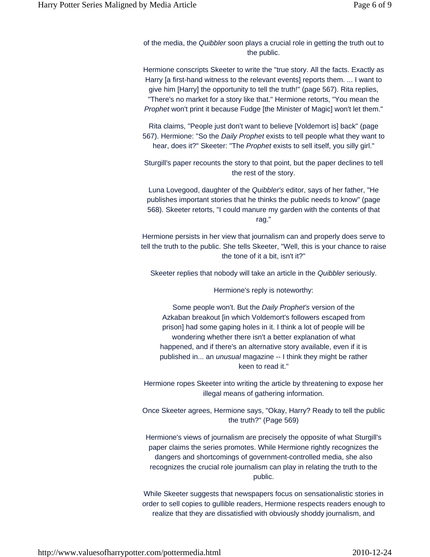of the media, the *Quibbler* soon plays a crucial role in getting the truth out to the public.

Hermione conscripts Skeeter to write the "true story. All the facts. Exactly as Harry [a first-hand witness to the relevant events] reports them. ... I want to give him [Harry] the opportunity to tell the truth!" (page 567). Rita replies, "There's no market for a story like that." Hermione retorts, "You mean the *Prophet* won't print it because Fudge [the Minister of Magic] won't let them."

Rita claims, "People just don't want to believe [Voldemort is] back" (page 567). Hermione: "So the *Daily Prophet* exists to tell people what they want to hear, does it?" Skeeter: "The *Prophet* exists to sell itself, you silly girl."

Sturgill's paper recounts the story to that point, but the paper declines to tell the rest of the story.

Luna Lovegood, daughter of the *Quibbler's* editor, says of her father, "He publishes important stories that he thinks the public needs to know" (page 568). Skeeter retorts, "I could manure my garden with the contents of that rag."

Hermione persists in her view that journalism can and properly does serve to tell the truth to the public. She tells Skeeter, "Well, this is your chance to raise the tone of it a bit, isn't it?"

Skeeter replies that nobody will take an article in the *Quibbler* seriously.

Hermione's reply is noteworthy:

Some people won't. But the *Daily Prophet's* version of the Azkaban breakout [in which Voldemort's followers escaped from prison] had some gaping holes in it. I think a lot of people will be wondering whether there isn't a better explanation of what happened, and if there's an alternative story available, even if it is published in... an *unusual* magazine -- I think they might be rather keen to read it."

Hermione ropes Skeeter into writing the article by threatening to expose her illegal means of gathering information.

Once Skeeter agrees, Hermione says, "Okay, Harry? Ready to tell the public the truth?" (Page 569)

Hermione's views of journalism are precisely the opposite of what Sturgill's paper claims the series promotes. While Hermione rightly recognizes the dangers and shortcomings of government-controlled media, she also recognizes the crucial role journalism can play in relating the truth to the public.

While Skeeter suggests that newspapers focus on sensationalistic stories in order to sell copies to gullible readers, Hermione respects readers enough to realize that they are dissatisfied with obviously shoddy journalism, and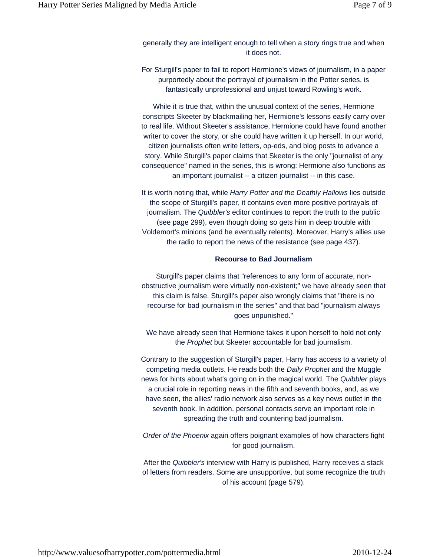generally they are intelligent enough to tell when a story rings true and when it does not.

For Sturgill's paper to fail to report Hermione's views of journalism, in a paper purportedly about the portrayal of journalism in the Potter series, is fantastically unprofessional and unjust toward Rowling's work.

While it is true that, within the unusual context of the series, Hermione conscripts Skeeter by blackmailing her, Hermione's lessons easily carry over to real life. Without Skeeter's assistance, Hermione could have found another writer to cover the story, or she could have written it up herself. In our world, citizen journalists often write letters, op-eds, and blog posts to advance a story. While Sturgill's paper claims that Skeeter is the only "journalist of any consequence" named in the series, this is wrong: Hermione also functions as an important journalist -- a citizen journalist -- in this case.

It is worth noting that, while *Harry Potter and the Deathly Hallows* lies outside the scope of Sturgill's paper, it contains even more positive portrayals of journalism. The *Quibbler's* editor continues to report the truth to the public (see page 299), even though doing so gets him in deep trouble with Voldemort's minions (and he eventually relents). Moreover, Harry's allies use the radio to report the news of the resistance (see page 437).

#### **Recourse to Bad Journalism**

Sturgill's paper claims that "references to any form of accurate, nonobstructive journalism were virtually non-existent;" we have already seen that this claim is false. Sturgill's paper also wrongly claims that "there is no recourse for bad journalism in the series" and that bad "journalism always goes unpunished."

We have already seen that Hermione takes it upon herself to hold not only the *Prophet* but Skeeter accountable for bad journalism.

Contrary to the suggestion of Sturgill's paper, Harry has access to a variety of competing media outlets. He reads both the *Daily Prophet* and the Muggle news for hints about what's going on in the magical world. The *Quibbler* plays a crucial role in reporting news in the fifth and seventh books, and, as we have seen, the allies' radio network also serves as a key news outlet in the seventh book. In addition, personal contacts serve an important role in spreading the truth and countering bad journalism.

*Order of the Phoenix* again offers poignant examples of how characters fight for good journalism.

After the *Quibbler's* interview with Harry is published, Harry receives a stack of letters from readers. Some are unsupportive, but some recognize the truth of his account (page 579).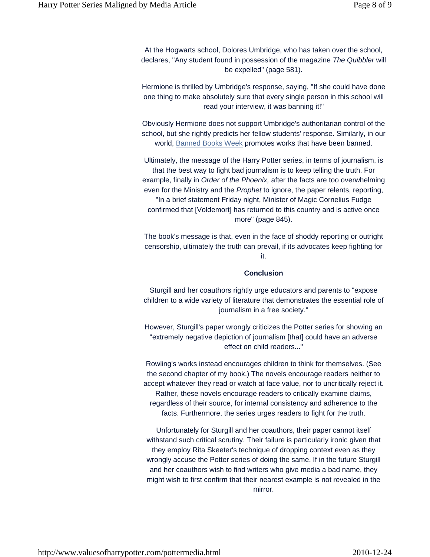At the Hogwarts school, Dolores Umbridge, who has taken over the school, declares, "Any student found in possession of the magazine *The Quibbler* will be expelled" (page 581).

Hermione is thrilled by Umbridge's response, saying, "If she could have done one thing to make absolutely sure that every single person in this school will read your interview, it was banning it!"

Obviously Hermione does not support Umbridge's authoritarian control of the school, but she rightly predicts her fellow students' response. Similarly, in our world, Banned Books Week promotes works that have been banned.

Ultimately, the message of the Harry Potter series, in terms of journalism, is that the best way to fight bad journalism is to keep telling the truth. For example, finally in *Order of the Phoenix,* after the facts are too overwhelming even for the Ministry and the *Prophet* to ignore, the paper relents, reporting, "In a brief statement Friday night, Minister of Magic Cornelius Fudge confirmed that [Voldemort] has returned to this country and is active once more" (page 845).

The book's message is that, even in the face of shoddy reporting or outright censorship, ultimately the truth can prevail, if its advocates keep fighting for it.

#### **Conclusion**

Sturgill and her coauthors rightly urge educators and parents to "expose children to a wide variety of literature that demonstrates the essential role of journalism in a free society."

However, Sturgill's paper wrongly criticizes the Potter series for showing an "extremely negative depiction of journalism [that] could have an adverse effect on child readers..."

Rowling's works instead encourages children to think for themselves. (See the second chapter of my book.) The novels encourage readers neither to accept whatever they read or watch at face value, nor to uncritically reject it. Rather, these novels encourage readers to critically examine claims, regardless of their source, for internal consistency and adherence to the facts. Furthermore, the series urges readers to fight for the truth.

Unfortunately for Sturgill and her coauthors, their paper cannot itself withstand such critical scrutiny. Their failure is particularly ironic given that they employ Rita Skeeter's technique of dropping context even as they wrongly accuse the Potter series of doing the same. If in the future Sturgill and her coauthors wish to find writers who give media a bad name, they might wish to first confirm that their nearest example is not revealed in the mirror.